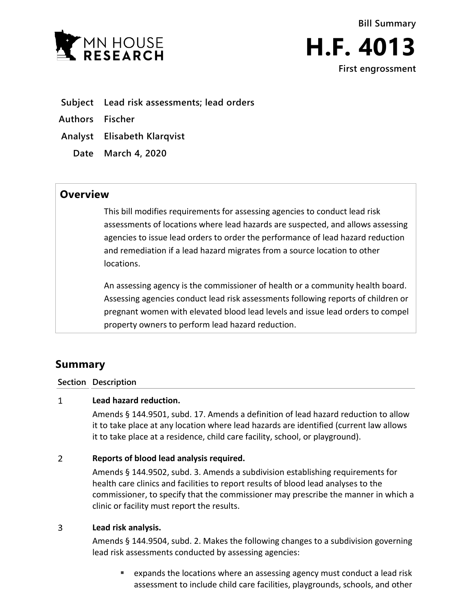



- **Subject Lead risk assessments; lead orders**
- **Authors Fischer**
- **Analyst Elisabeth Klarqvist**
	- **Date March 4, 2020**

## **Overview**

This bill modifies requirements for assessing agencies to conduct lead risk assessments of locations where lead hazards are suspected, and allows assessing agencies to issue lead orders to order the performance of lead hazard reduction and remediation if a lead hazard migrates from a source location to other locations.

An assessing agency is the commissioner of health or a community health board. Assessing agencies conduct lead risk assessments following reports of children or pregnant women with elevated blood lead levels and issue lead orders to compel property owners to perform lead hazard reduction.

# **Summary**

**Section Description**

#### **Lead hazard reduction.**  $\mathbf{1}$

Amends § 144.9501, subd. 17. Amends a definition of lead hazard reduction to allow it to take place at any location where lead hazards are identified (current law allows it to take place at a residence, child care facility, school, or playground).

#### $\overline{2}$ **Reports of blood lead analysis required.**

Amends § 144.9502, subd. 3. Amends a subdivision establishing requirements for health care clinics and facilities to report results of blood lead analyses to the commissioner, to specify that the commissioner may prescribe the manner in which a clinic or facility must report the results.

#### $\overline{3}$ **Lead risk analysis.**

Amends § 144.9504, subd. 2. Makes the following changes to a subdivision governing lead risk assessments conducted by assessing agencies:

 expands the locations where an assessing agency must conduct a lead risk assessment to include child care facilities, playgrounds, schools, and other